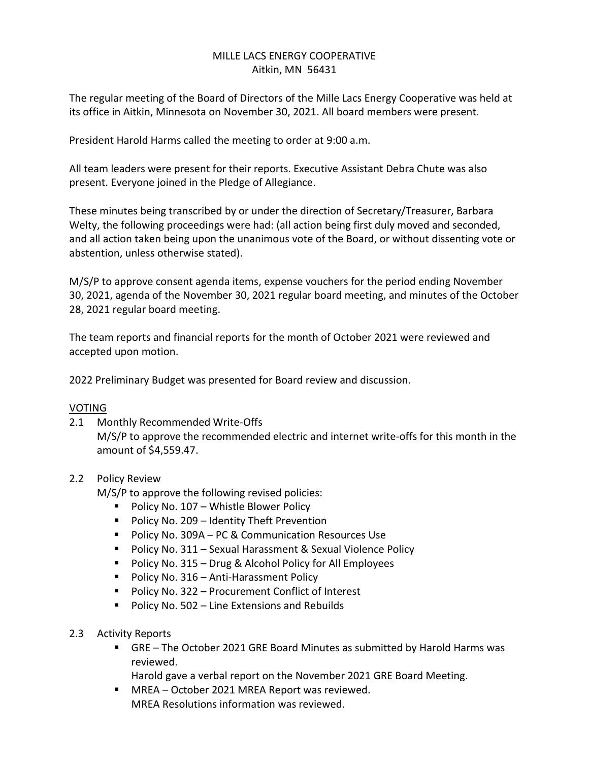# MILLE LACS ENERGY COOPERATIVE Aitkin, MN 56431

The regular meeting of the Board of Directors of the Mille Lacs Energy Cooperative was held at its office in Aitkin, Minnesota on November 30, 2021. All board members were present.

President Harold Harms called the meeting to order at 9:00 a.m.

All team leaders were present for their reports. Executive Assistant Debra Chute was also present. Everyone joined in the Pledge of Allegiance.

These minutes being transcribed by or under the direction of Secretary/Treasurer, Barbara Welty, the following proceedings were had: (all action being first duly moved and seconded, and all action taken being upon the unanimous vote of the Board, or without dissenting vote or abstention, unless otherwise stated).

M/S/P to approve consent agenda items, expense vouchers for the period ending November 30, 2021, agenda of the November 30, 2021 regular board meeting, and minutes of the October 28, 2021 regular board meeting.

The team reports and financial reports for the month of October 2021 were reviewed and accepted upon motion.

2022 Preliminary Budget was presented for Board review and discussion.

### VOTING

2.1 Monthly Recommended Write-Offs

M/S/P to approve the recommended electric and internet write-offs for this month in the amount of \$4,559.47.

### 2.2 Policy Review

M/S/P to approve the following revised policies:

- Policy No. 107 Whistle Blower Policy
- Policy No. 209 Identity Theft Prevention
- Policy No. 309A PC & Communication Resources Use
- Policy No. 311 Sexual Harassment & Sexual Violence Policy
- Policy No. 315 Drug & Alcohol Policy for All Employees
- Policy No. 316 Anti-Harassment Policy
- Policy No. 322 Procurement Conflict of Interest
- Policy No. 502 Line Extensions and Rebuilds
- 2.3 Activity Reports
	- GRE The October 2021 GRE Board Minutes as submitted by Harold Harms was reviewed.
		- Harold gave a verbal report on the November 2021 GRE Board Meeting.
	- MREA October 2021 MREA Report was reviewed. MREA Resolutions information was reviewed.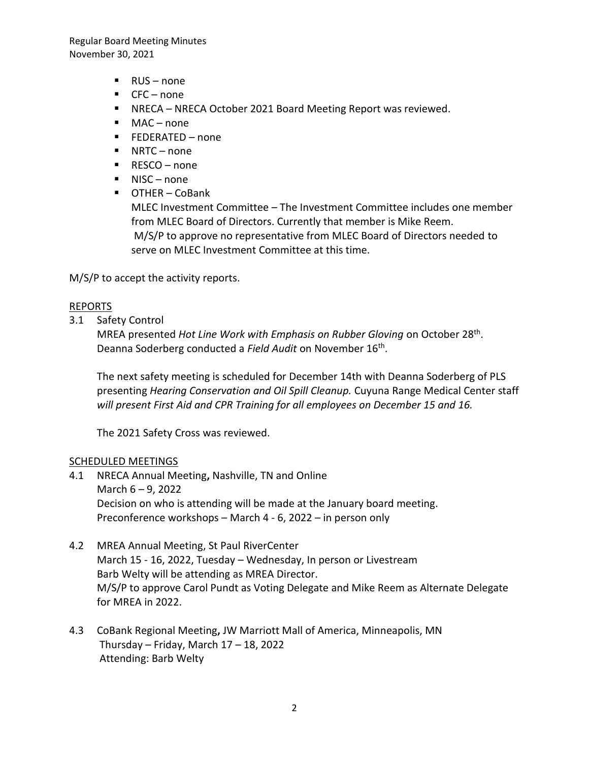Regular Board Meeting Minutes November 30, 2021

- $\blacksquare$  RUS none
- CFC none
- NRECA NRECA October 2021 Board Meeting Report was reviewed.
- MAC none
- FEDERATED none
- NRTC none
- RESCO none
- NISC none
- OTHER CoBank

MLEC Investment Committee – The Investment Committee includes one member from MLEC Board of Directors. Currently that member is Mike Reem. M/S/P to approve no representative from MLEC Board of Directors needed to serve on MLEC Investment Committee at this time.

M/S/P to accept the activity reports.

## REPORTS

3.1 Safety Control

MREA presented *Hot Line Work with Emphasis on Rubber Gloving* on October 28th . Deanna Soderberg conducted a Field Audit on November 16<sup>th</sup>.

The next safety meeting is scheduled for December 14th with Deanna Soderberg of PLS presenting *Hearing Conservation and Oil Spill Cleanup.* Cuyuna Range Medical Center staff *will present First Aid and CPR Training for all employees on December 15 and 16.* 

The 2021 Safety Cross was reviewed.

### SCHEDULED MEETINGS

- 4.1 NRECA Annual Meeting**,** Nashville, TN and Online March 6 – 9, 2022 Decision on who is attending will be made at the January board meeting. Preconference workshops – March 4 - 6, 2022 – in person only
- 4.2 MREA Annual Meeting, St Paul RiverCenter March 15 - 16, 2022, Tuesday – Wednesday, In person or Livestream Barb Welty will be attending as MREA Director. M/S/P to approve Carol Pundt as Voting Delegate and Mike Reem as Alternate Delegate for MREA in 2022.
- 4.3 CoBank Regional Meeting**,** JW Marriott Mall of America, Minneapolis, MN Thursday – Friday, March  $17 - 18$ , 2022 Attending: Barb Welty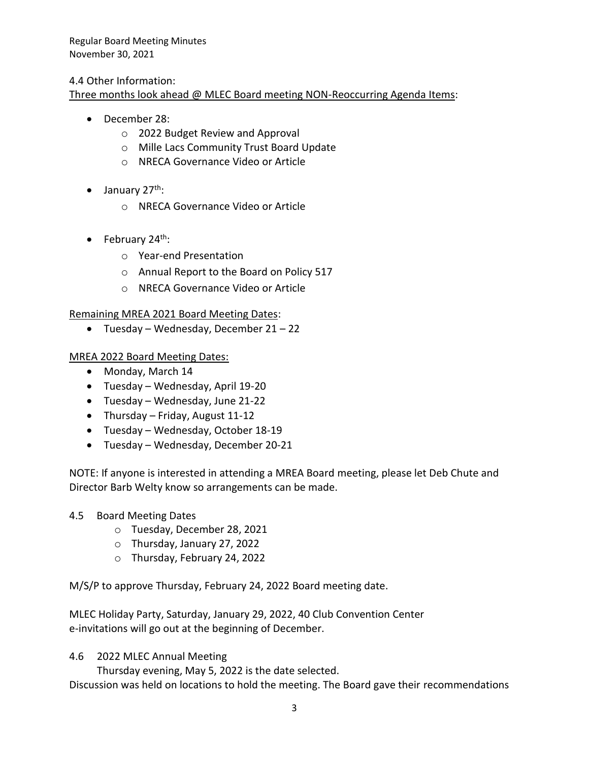Regular Board Meeting Minutes November 30, 2021

4.4 Other Information:

Three months look ahead @ MLEC Board meeting NON-Reoccurring Agenda Items:

- December 28:
	- o 2022 Budget Review and Approval
	- o Mille Lacs Community Trust Board Update
	- o NRECA Governance Video or Article
- $\bullet$  January 27<sup>th</sup>:
	- o NRECA Governance Video or Article
- February  $24^{th}$ :
	- o Year-end Presentation
	- o Annual Report to the Board on Policy 517
	- o NRECA Governance Video or Article

#### Remaining MREA 2021 Board Meeting Dates:

• Tuesday – Wednesday, December 21 – 22

MREA 2022 Board Meeting Dates:

- Monday, March 14
- Tuesday Wednesday, April 19-20
- Tuesday Wednesday, June 21-22
- Thursday Friday, August 11-12
- Tuesday Wednesday, October 18-19
- Tuesday Wednesday, December 20-21

NOTE: If anyone is interested in attending a MREA Board meeting, please let Deb Chute and Director Barb Welty know so arrangements can be made.

### 4.5 Board Meeting Dates

- o Tuesday, December 28, 2021
- o Thursday, January 27, 2022
- o Thursday, February 24, 2022

M/S/P to approve Thursday, February 24, 2022 Board meeting date.

MLEC Holiday Party, Saturday, January 29, 2022, 40 Club Convention Center e-invitations will go out at the beginning of December.

### 4.6 2022 MLEC Annual Meeting

Thursday evening, May 5, 2022 is the date selected.

Discussion was held on locations to hold the meeting. The Board gave their recommendations